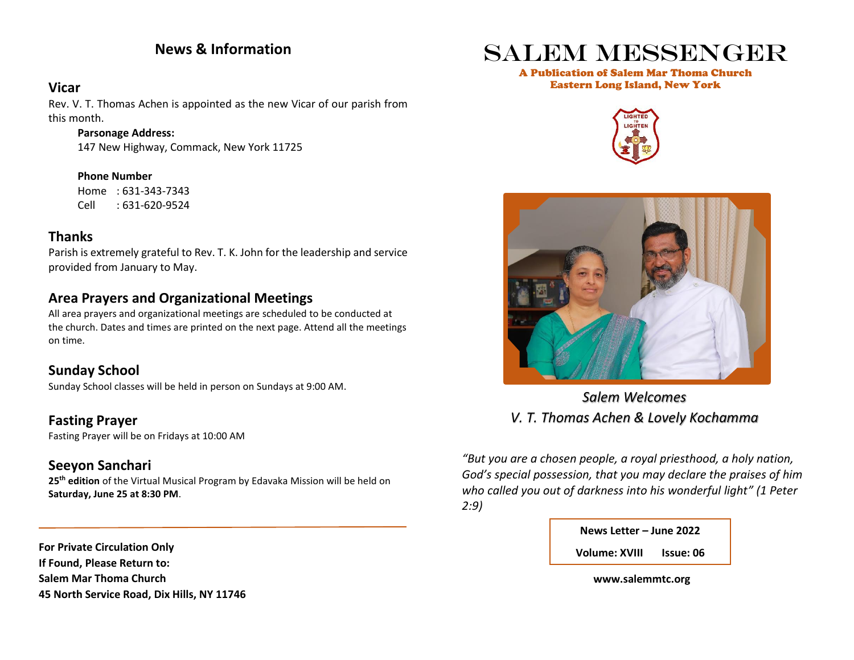## **News & Information**

### **Vicar**

Rev. V. T. Thomas Achen is appointed as the new Vicar of our parish from this month.

#### **Parsonage Address:**

147 New Highway, Commack, New York 11725

**Phone Number** Home : 631-343-7343 Cell : 631-620-9524

## **Thanks**

Parish is extremely grateful to Rev. T. K. John for the leadership and service provided from January to May.

## **Area Prayers and Organizational Meetings**

All area prayers and organizational meetings are scheduled to be conducted at the church. Dates and times are printed on the next page. Attend all the meetings on time.

## **Sunday School**

Sunday School classes will be held in person on Sundays at 9:00 AM.

**Fasting Prayer** Fasting Prayer will be on Fridays at 10:00 AM

## **Seeyon Sanchari**

**25th edition** of the Virtual Musical Program by Edavaka Mission will be held on **Saturday, June 25 at 8:30 PM**.

**For Private Circulation Only If Found, Please Return to: Salem Mar Thoma Church 45 North Service Road, Dix Hills, NY 11746**

# Salem Messenger

#### A Publication of Salem Mar Thoma Church Eastern Long Island, New York





*Salem Welcomes V. T. Thomas Achen & Lovely Kochamma*

*"But you are a chosen people, a royal priesthood, a holy nation, God's special possession, that you may declare the praises of him who called you out of darkness into his wonderful light" (1 Peter 2:9)*

| News Letter – June 2022 |                  |
|-------------------------|------------------|
| <b>Volume: XVIII</b>    | <b>Issue: 06</b> |

 **www.salemmtc.org**